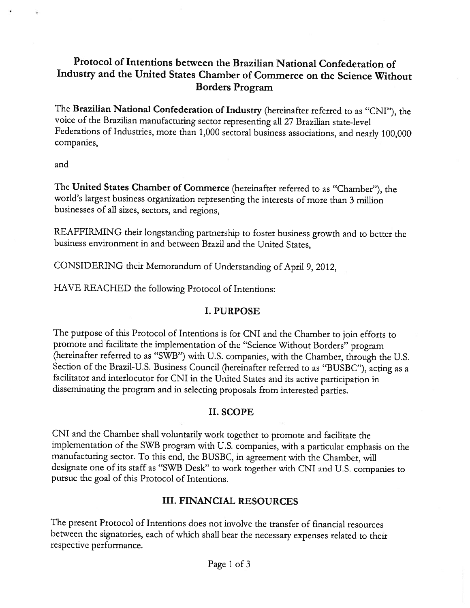# Protocol of Intentions between the Brazilian National Confederation of Industry and the United States Chamber of Commerce on the Science Without Borders Program

The Brazilian National Confederation of Industry (hereinafter referred to as "CNI"), the voice of the Brazilian manufacturing sector representing all <sup>27</sup> Brazilian state-level Federations of Industries, more than 1,000 sectoral business associations, and nearly 100,000 companies,

and

The United States Chamber of Commerce (hereinafter referred to as "Chamber"), the world's largest business organization representing the interests of more than <sup>3</sup> million businesses of all sizes, sectors, and regions,

REAFFIRMING their longstanding partnership to foster business growth and to better the business environment in and between Brazil and the United States,

CONSIDERING their Memorandum of Understanding of April 9,2012,

HAVE REACHED the following Protocol of Intentions:

# I. PURPOSE

The purpose of this Protocol of Intentions is for CNI and the Chamber to join efforts to promote and facilitate the implementation of the "Science \Vithout Borders" program (hereinafter referred to as "SWB") with U.S. companies, with the Chamber, through the U.S. Section of the Brazil-U.S. Business Council (hereinafter referred to as "BUSBC"), acting as a facilitator and interlocutor for CNI in the United States and its active participation in disseminating the program and in selecting proposals from interested parties.

# II. SCOPE

CNI and the Chamber shall voluntarily work together to promote and facilitate the implementation of the SWB program with U.S. companies, with a particular emphasis on the manufacturing sector. To this end, the BUSBC, in agreement with the Chamber, will designate one of its staff as "SWH Desk" to work together with CNI and U.S. companies to pursue the goal of this Protocol of Intentions.

# III. FINANCIAL RESOURCES

Ihe present Protocol of Intentions does not involve the transfer of financial resources between the signatories, each of which shall bear the necessary expenses related to their respective performance.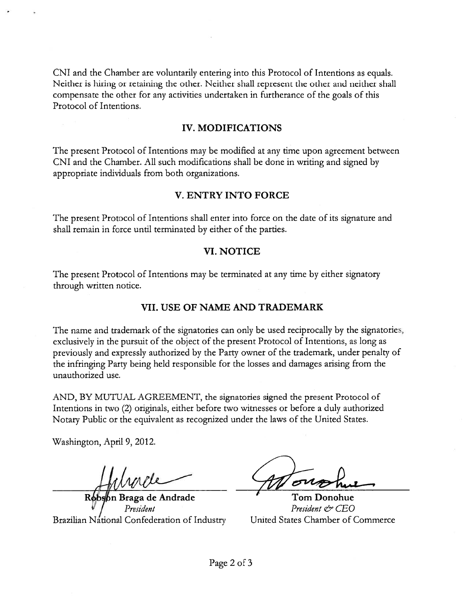CNI and the Chamber are voluntarily entering into this Protocol of Intentions as equals. Neither is hiring or retaining the other. Neither shall represen<sup>t</sup> the other and neither shall compensate the other for any activities undertaken in furtherance of the goals of this Protocol of Intentions.

## IV. MODIFICATIONS

Ihe presen<sup>t</sup> Protocol of Intentions may be modified at any time upon agreemen<sup>t</sup> between CNI and the Chamber. All such modifications shall be done in writing and signed by appropriate individuals from both organizations.

### V. ENTRY INTO FORCE

The presen<sup>t</sup> Protocol of Intentions shall enter into force on the date of its signature and shall remain in force until terminated by either of the parties.

### VI. NOTICE

The present Protocol of Intentions may be terminated at any time by either signatory through written notice.

# VII. USE OF NAME AND TRADEMARK

The name and trademark of the signatories can only be used reciprocally by the signatories, exclusively in the pursuit of the object of the presen<sup>t</sup> Protocol of Intentions, as long as previously and expressly authorized by the Party owner of the trademark, under penalty of the infringing Party being held responsible for the losses and damages arising from the unauthorized use.

AND, BY MUTUAL AGREEMENT, the signatories signed the present Protocol of Intentions in two (2) originals, either before two witnesses or before <sup>a</sup> duly authorized Notary Public or the equivalent as recognized under the laws of the United States.

Washington, April 9, 2012.

bn Braga de Andrade **Tom Donohue** Brazilian National Confederation of Industry

President<br>Confederation of Industry United States Chamber of Commerce